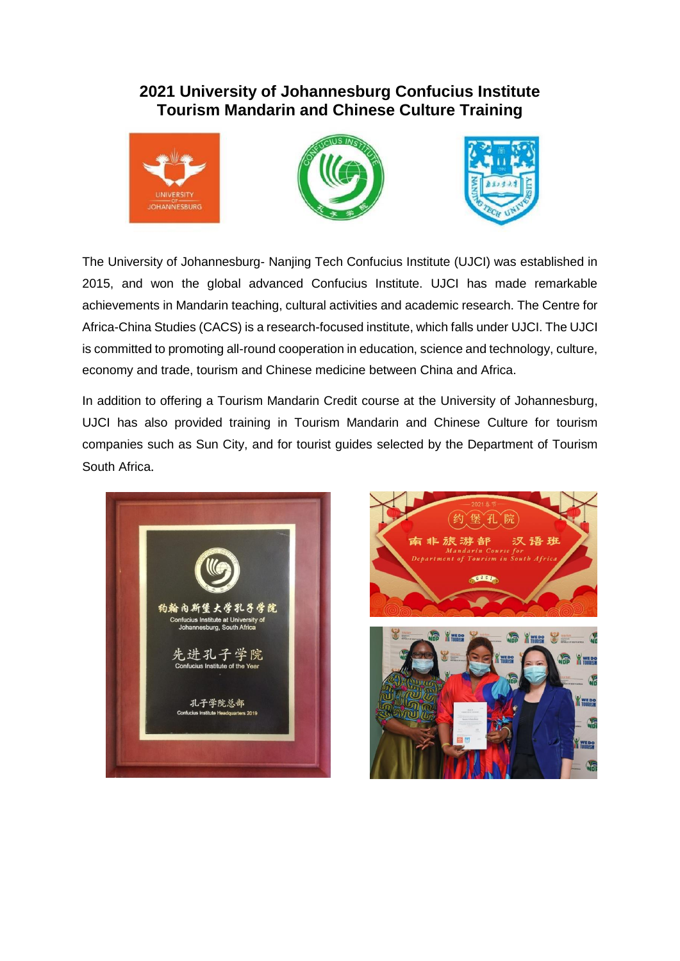## **2021 University of Johannesburg Confucius Institute Tourism Mandarin and Chinese Culture Training**







The University of Johannesburg- Nanjing Tech Confucius Institute (UJCI) was established in 2015, and won the global advanced Confucius Institute. UJCI has made remarkable achievements in Mandarin teaching, cultural activities and academic research. The Centre for Africa-China Studies (CACS) is a research-focused institute, which falls under UJCI. The UJCI is committed to promoting all-round cooperation in education, science and technology, culture, economy and trade, tourism and Chinese medicine between China and Africa.

In addition to offering a Tourism Mandarin Credit course at the University of Johannesburg, UJCI has also provided training in Tourism Mandarin and Chinese Culture for tourism companies such as Sun City, and for tourist guides selected by the Department of Tourism South Africa.



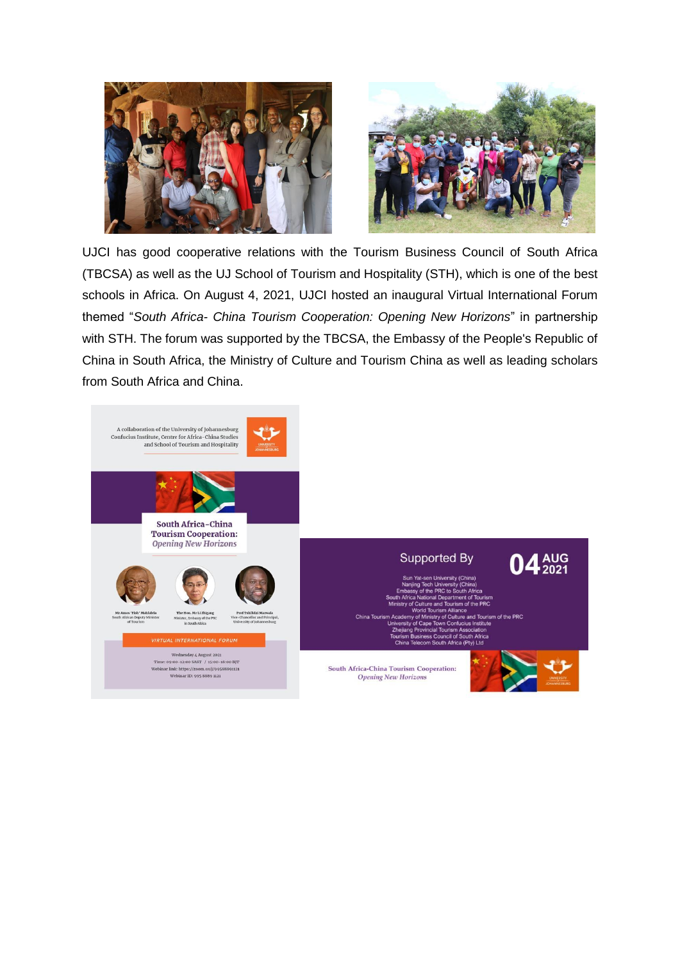

UJCI has good cooperative relations with the Tourism Business Council of South Africa (TBCSA) as well as the UJ School of Tourism and Hospitality (STH), which is one of the best schools in Africa. On August 4, 2021, UJCI hosted an inaugural Virtual International Forum themed "*South Africa- China Tourism Cooperation: Opening New Horizons*" in partnership with STH. The forum was supported by the TBCSA, the Embassy of the People's Republic of China in South Africa, the Ministry of Culture and Tourism China as well as leading scholars from South Africa and China.

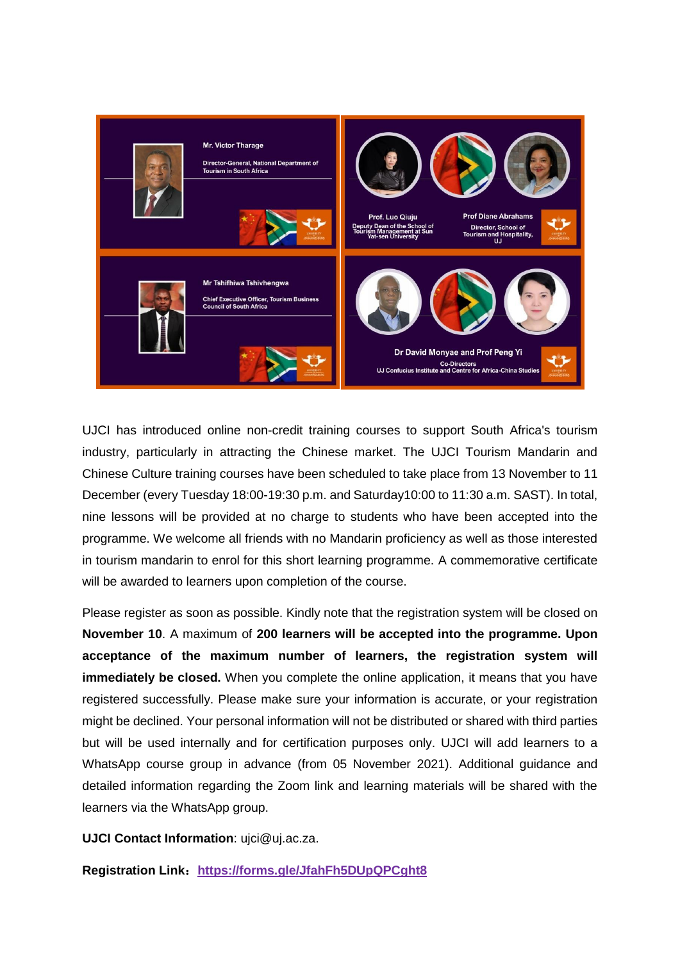

UJCI has introduced online non-credit training courses to support South Africa's tourism industry, particularly in attracting the Chinese market. The UJCI Tourism Mandarin and Chinese Culture training courses have been scheduled to take place from 13 November to 11 December (every Tuesday 18:00-19:30 p.m. and Saturday10:00 to 11:30 a.m. SAST). In total, nine lessons will be provided at no charge to students who have been accepted into the programme. We welcome all friends with no Mandarin proficiency as well as those interested in tourism mandarin to enrol for this short learning programme. A commemorative certificate will be awarded to learners upon completion of the course.

Please register as soon as possible. Kindly note that the registration system will be closed on **November 10**. A maximum of **200 learners will be accepted into the programme. Upon acceptance of the maximum number of learners, the registration system will immediately be closed.** When you complete the online application, it means that you have registered successfully. Please make sure your information is accurate, or your registration might be declined. Your personal information will not be distributed or shared with third parties but will be used internally and for certification purposes only. UJCI will add learners to a WhatsApp course group in advance (from 05 November 2021). Additional guidance and detailed information regarding the Zoom link and learning materials will be shared with the learners via the WhatsApp group.

**UJCI Contact Information**: ujci@uj.ac.za.

**Registration Link**:**[https://forms.gle/JfahFh5DUpQPCght8](https://eur01.safelinks.protection.outlook.com/?url=https%3A%2F%2Fforms.gle%2FJfahFh5DUpQPCght8&data=04%7C01%7Cyip%40uj.ac.za%7Cea0726edf9064100545608d9930b53d0%7Cfa785acd36ef41bc8a9489841327e045%7C1%7C0%7C637702499119342811%7CUnknown%7CTWFpbGZsb3d8eyJWIjoiMC4wLjAwMDAiLCJQIjoiV2luMzIiLCJBTiI6Ik1haWwiLCJXVCI6Mn0%3D%7C1000&sdata=9rW7GBUIT%2FBX1%2FYM%2BXkV4cBs8Dl8RkdApNpxsHxjiVA%3D&reserved=0)**